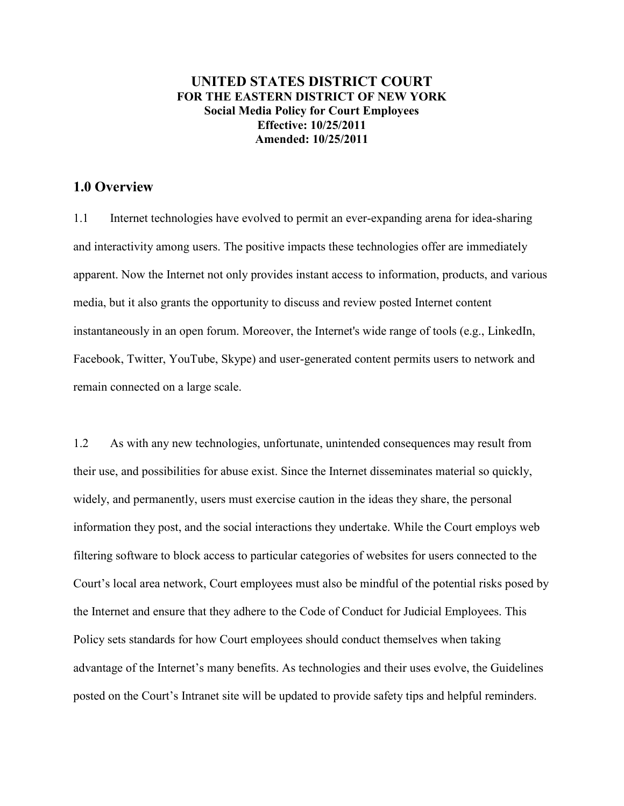## **UNITED STATES DISTRICT COURT FOR THE EASTERN DISTRICT OF NEW YORK Social Media Policy for Court Employees Effective: 10/25/2011 Amended: 10/25/2011**

# **1.0 Overview**

1.1 Internet technologies have evolved to permit an ever-expanding arena for idea-sharing and interactivity among users. The positive impacts these technologies offer are immediately apparent. Now the Internet not only provides instant access to information, products, and various media, but it also grants the opportunity to discuss and review posted Internet content instantaneously in an open forum. Moreover, the Internet's wide range of tools (e.g., LinkedIn, Facebook, Twitter, YouTube, Skype) and user-generated content permits users to network and remain connected on a large scale.

1.2 As with any new technologies, unfortunate, unintended consequences may result from their use, and possibilities for abuse exist. Since the Internet disseminates material so quickly, widely, and permanently, users must exercise caution in the ideas they share, the personal information they post, and the social interactions they undertake. While the Court employs web filtering software to block access to particular categories of websites for users connected to the Court's local area network, Court employees must also be mindful of the potential risks posed by the Internet and ensure that they adhere to the Code of Conduct for Judicial Employees. This Policy sets standards for how Court employees should conduct themselves when taking advantage of the Internet's many benefits. As technologies and their uses evolve, the Guidelines posted on the Court's Intranet site will be updated to provide safety tips and helpful reminders.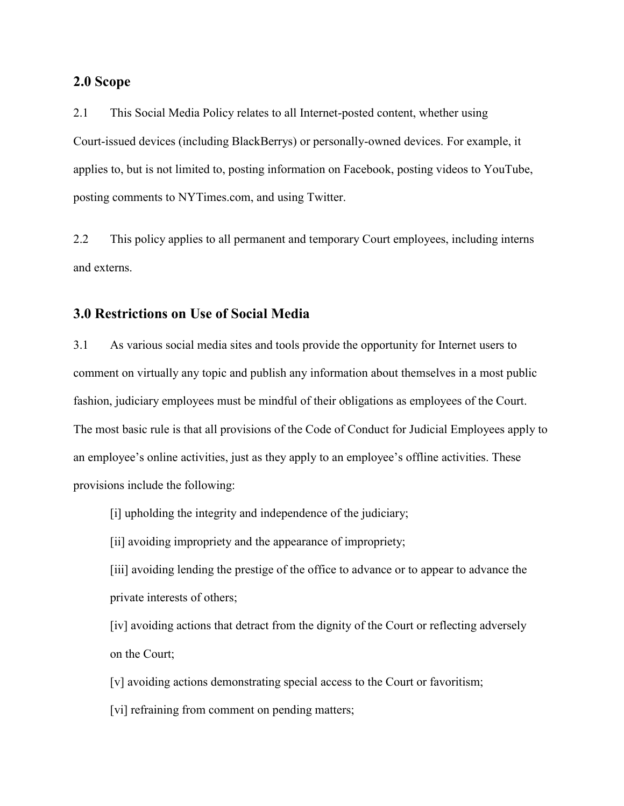#### **2.0 Scope**

2.1 This Social Media Policy relates to all Internet-posted content, whether using Court-issued devices (including BlackBerrys) or personally-owned devices. For example, it applies to, but is not limited to, posting information on Facebook, posting videos to YouTube, posting comments to NYTimes.com, and using Twitter.

2.2 This policy applies to all permanent and temporary Court employees, including interns and externs.

## **3.0 Restrictions on Use of Social Media**

3.1 As various social media sites and tools provide the opportunity for Internet users to comment on virtually any topic and publish any information about themselves in a most public fashion, judiciary employees must be mindful of their obligations as employees of the Court. The most basic rule is that all provisions of the Code of Conduct for Judicial Employees apply to an employee's online activities, just as they apply to an employee's offline activities. These provisions include the following:

- [i] upholding the integrity and independence of the judiciary;
- [ii] avoiding impropriety and the appearance of impropriety;

[iii] avoiding lending the prestige of the office to advance or to appear to advance the private interests of others;

[iv] avoiding actions that detract from the dignity of the Court or reflecting adversely on the Court;

[v] avoiding actions demonstrating special access to the Court or favoritism;

[vi] refraining from comment on pending matters;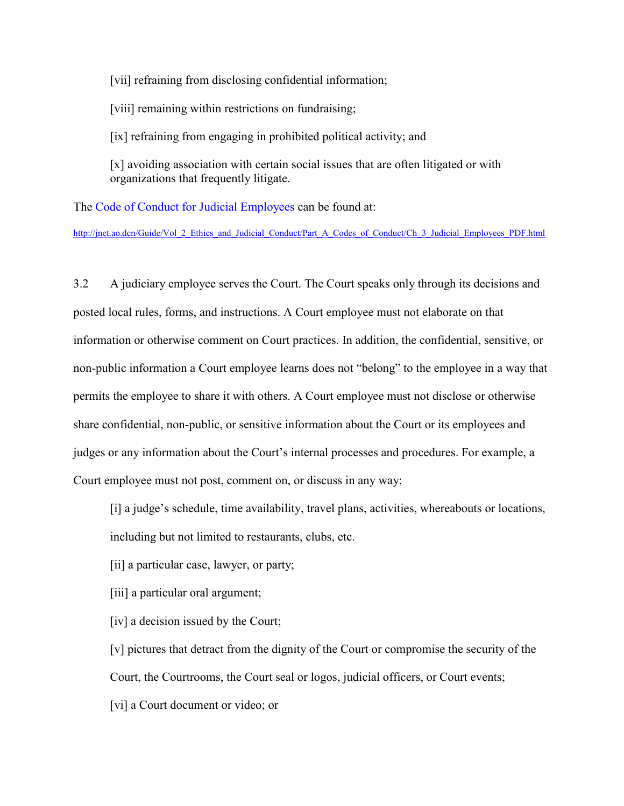[vii] refraining from disclosing confidential information;

[viii] remaining within restrictions on fundraising;

[ix] refraining from engaging in prohibited political activity; and

[x] avoiding association with certain social issues that are often litigated or with organizations that frequently litigate.

The Code of Conduct for Judicial Employees can be found at:

http://jnet.ao.dcn/Guide/Vol\_2\_Ethics\_and\_Judicial\_Conduct/Part\_A\_Codes\_of\_Conduct/Ch\_3\_Judicial\_Employees\_PDF.html

3.2 A judiciary employee serves the Court. The Court speaks only through its decisions and posted local rules, forms, and instructions. A Court employee must not elaborate on that information or otherwise comment on Court practices. In addition, the confidential, sensitive, or non-public information a Court employee learns does not "belong" to the employee in a way that permits the employee to share it with others. A Court employee must not disclose or otherwise share confidential, non-public, or sensitive information about the Court or its employees and judges or any information about the Court's internal processes and procedures. For example, a Court employee must not post, comment on, or discuss in any way:

[i] a judge's schedule, time availability, travel plans, activities, whereabouts or locations, including but not limited to restaurants, clubs, etc.

- [ii] a particular case, lawyer, or party;
- [iii] a particular oral argument;
- [iv] a decision issued by the Court;

[v] pictures that detract from the dignity of the Court or compromise the security of the Court, the Courtrooms, the Court seal or logos, judicial officers, or Court events;

[vi] a Court document or video; or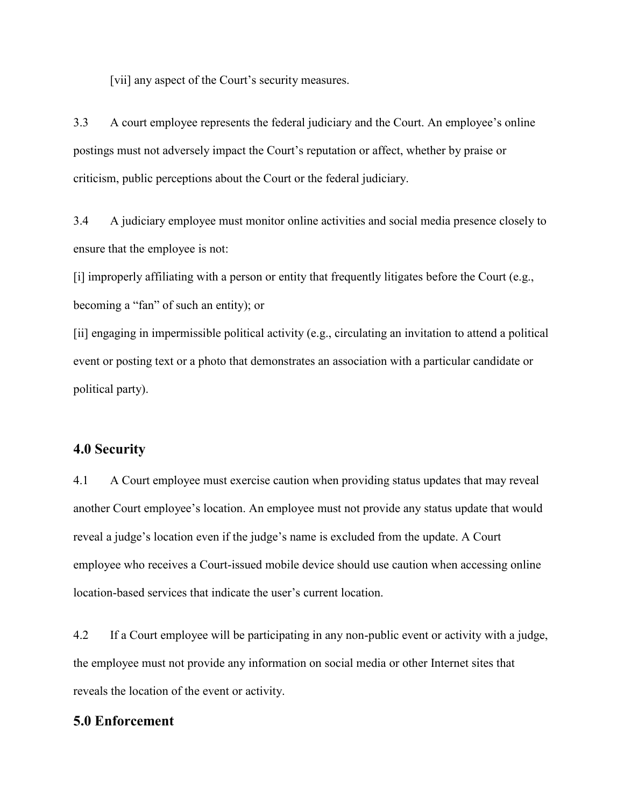[vii] any aspect of the Court's security measures.

3.3 A court employee represents the federal judiciary and the Court. An employee's online postings must not adversely impact the Court's reputation or affect, whether by praise or criticism, public perceptions about the Court or the federal judiciary.

3.4 A judiciary employee must monitor online activities and social media presence closely to ensure that the employee is not:

[i] improperly affiliating with a person or entity that frequently litigates before the Court (e.g., becoming a "fan" of such an entity); or

[ii] engaging in impermissible political activity (e.g., circulating an invitation to attend a political event or posting text or a photo that demonstrates an association with a particular candidate or political party).

## **4.0 Security**

4.1 A Court employee must exercise caution when providing status updates that may reveal another Court employee's location. An employee must not provide any status update that would reveal a judge's location even if the judge's name is excluded from the update. A Court employee who receives a Court-issued mobile device should use caution when accessing online location-based services that indicate the user's current location.

4.2 If a Court employee will be participating in any non-public event or activity with a judge, the employee must not provide any information on social media or other Internet sites that reveals the location of the event or activity.

#### **5.0 Enforcement**